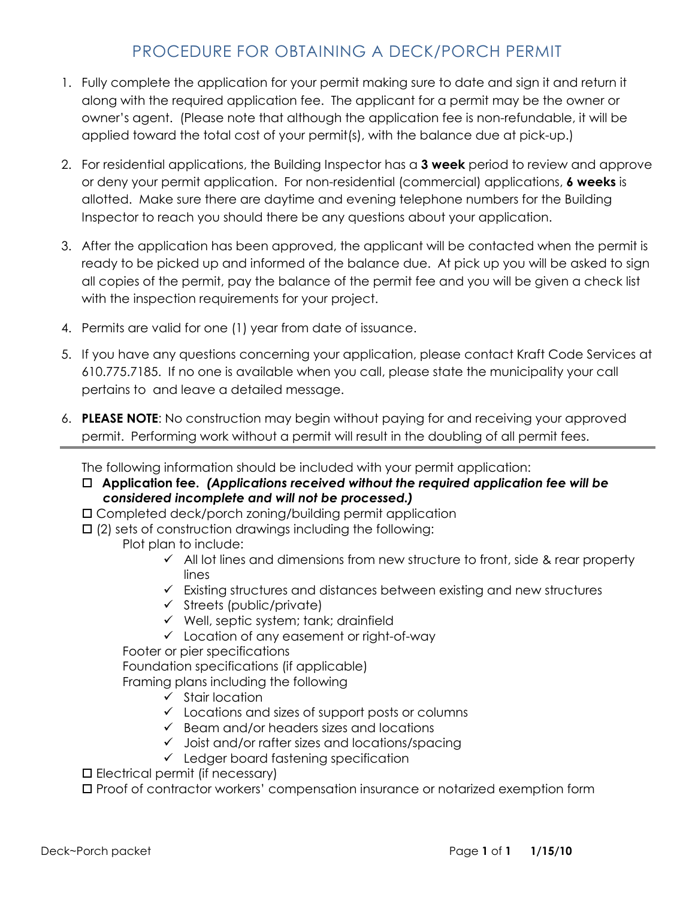# PROCEDURE FOR OBTAINING A DECK/PORCH PERMIT

- 1. Fully complete the application for your permit making sure to date and sign it and return it along with the required application fee. The applicant for a permit may be the owner or owner's agent. (Please note that although the application fee is non-refundable, it will be applied toward the total cost of your permit(s), with the balance due at pick-up.)
- 2. For residential applications, the Building Inspector has a 3 week period to review and approve or deny your permit application. For non-residential (commercial) applications, **6 weeks** is allotted. Make sure there are daytime and evening telephone numbers for the Building Inspector to reach you should there be any questions about your application.
- 3. After the application has been approved, the applicant will be contacted when the permit is ready to be picked up and informed of the balance due. At pick up you will be asked to sign all copies of the permit, pay the balance of the permit fee and you will be given a check list with the inspection requirements for your project.
- 4. Permits are valid for one (1) year from date of issuance.
- 5. If you have any questions concerning your application, please contact Kraft Code Services at 610.775.7185. If no one is available when you call, please state the municipality your call pertains to and leave a detailed message.
- 6. PLEASE NOTE: No construction may begin without paying for and receiving your approved permit. Performing work without a permit will result in the doubling of all permit fees.

The following information should be included with your permit application:

- $\Box$  Application fee. (Applications received without the required application fee will be considered incomplete and will not be processed.)
- Completed deck/porch zoning/building permit application
- $\Box$  (2) sets of construction drawings including the following: Plot plan to include:
	- $\checkmark$  All lot lines and dimensions from new structure to front, side & rear property lines
	- $\checkmark$  Existing structures and distances between existing and new structures
	- $\checkmark$  Streets (public/private)
	- $\checkmark$  Well, septic system; tank; drainfield
	- Location of any easement or right-of-way

Footer or pier specifications

Foundation specifications (if applicable)

Framing plans including the following

- $\checkmark$  Stair location
- $\checkmark$  Locations and sizes of support posts or columns
- $\checkmark$  Beam and/or headers sizes and locations
- $\checkmark$  Joist and/or rafter sizes and locations/spacing
- $\checkmark$  Ledger board fastening specification

 $\square$  Electrical permit (if necessary)

Proof of contractor workers' compensation insurance or notarized exemption form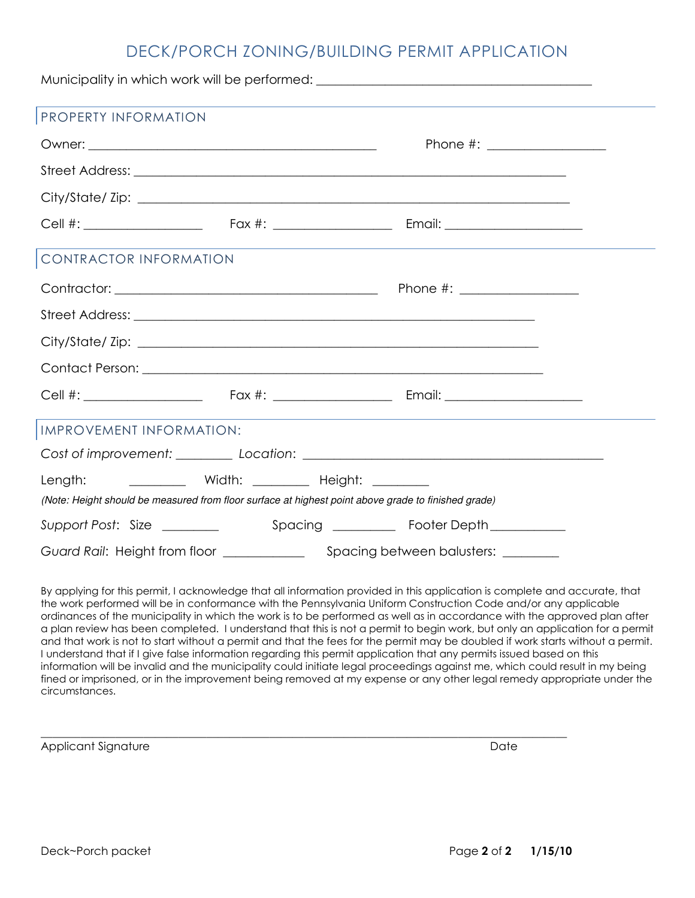### DECK/PORCH ZONING/BUILDING PERMIT APPLICATION

| Municipality in which work will be performed: __________________________________ |  |                                                                                                     |  |  |  |  |  |  |
|----------------------------------------------------------------------------------|--|-----------------------------------------------------------------------------------------------------|--|--|--|--|--|--|
| PROPERTY INFORMATION                                                             |  |                                                                                                     |  |  |  |  |  |  |
|                                                                                  |  |                                                                                                     |  |  |  |  |  |  |
|                                                                                  |  |                                                                                                     |  |  |  |  |  |  |
|                                                                                  |  |                                                                                                     |  |  |  |  |  |  |
|                                                                                  |  |                                                                                                     |  |  |  |  |  |  |
| CONTRACTOR INFORMATION                                                           |  |                                                                                                     |  |  |  |  |  |  |
|                                                                                  |  |                                                                                                     |  |  |  |  |  |  |
|                                                                                  |  |                                                                                                     |  |  |  |  |  |  |
|                                                                                  |  |                                                                                                     |  |  |  |  |  |  |
|                                                                                  |  |                                                                                                     |  |  |  |  |  |  |
|                                                                                  |  |                                                                                                     |  |  |  |  |  |  |
| IMPROVEMENT INFORMATION:                                                         |  |                                                                                                     |  |  |  |  |  |  |
|                                                                                  |  |                                                                                                     |  |  |  |  |  |  |
| Length:                                                                          |  | (Note: Height should be measured from floor surface at highest point above grade to finished grade) |  |  |  |  |  |  |
|                                                                                  |  |                                                                                                     |  |  |  |  |  |  |
|                                                                                  |  |                                                                                                     |  |  |  |  |  |  |

By applying for this permit, I acknowledge that all information provided in this application is complete and accurate, that the work performed will be in conformance with the Pennsylvania Uniform Construction Code and/or any applicable ordinances of the municipality in which the work is to be performed as well as in accordance with the approved plan after a plan review has been completed. I understand that this is not a permit to begin work, but only an application for a permit and that work is not to start without a permit and that the fees for the permit may be doubled if work starts without a permit. I understand that if I give false information regarding this permit application that any permits issued based on this information will be invalid and the municipality could initiate legal proceedings against me, which could result in my being fined or imprisoned, or in the improvement being removed at my expense or any other legal remedy appropriate under the circumstances.

 $\overline{\phantom{a}}$  , and the contribution of the contribution of the contribution of the contribution of the contribution of the contribution of the contribution of the contribution of the contribution of the contribution of the

Applicant Signature Date Date Applicant Signature Date Date Date Date Date Date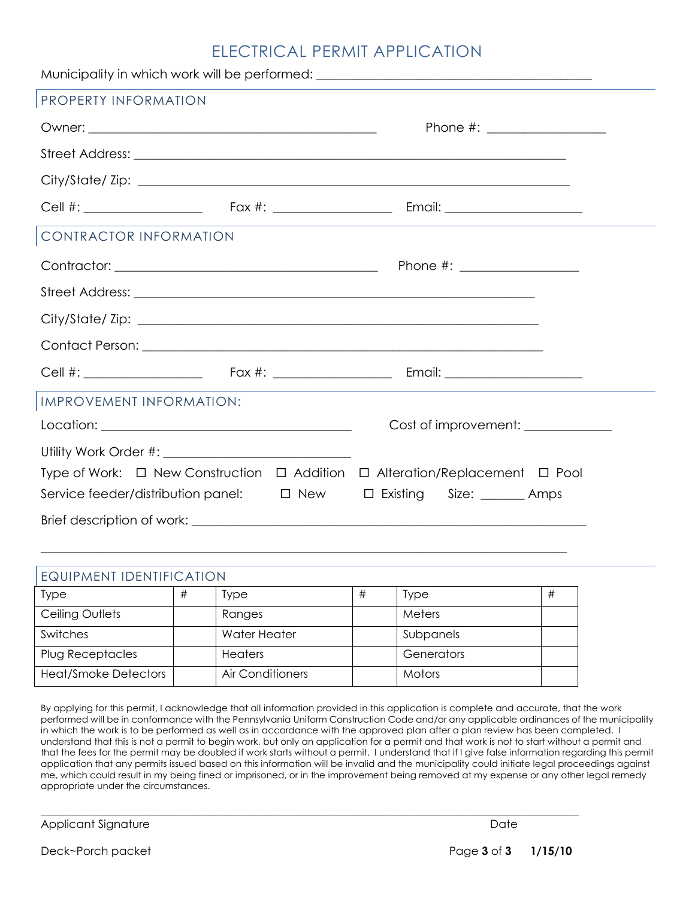## ELECTRICAL PERMIT APPLICATION

|                          | Municipality in which work will be performed: __________________________________ |
|--------------------------|----------------------------------------------------------------------------------|
| PROPERTY INFORMATION     |                                                                                  |
|                          |                                                                                  |
|                          |                                                                                  |
|                          |                                                                                  |
|                          |                                                                                  |
| CONTRACTOR INFORMATION   |                                                                                  |
|                          |                                                                                  |
|                          |                                                                                  |
|                          |                                                                                  |
|                          |                                                                                  |
|                          |                                                                                  |
| IMPROVEMENT INFORMATION: |                                                                                  |
|                          | Cost of improvement: ____________                                                |
|                          |                                                                                  |
|                          | Type of Work: □ New Construction □ Addition □ Alteration/Replacement □ Pool      |
|                          | Service feeder/distribution panel: $\Box$ New $\Box$ Existing Size: _______ Amps |
|                          |                                                                                  |

| EQUIPMENT IDENTIFICATION    |   |                  |   |             |   |
|-----------------------------|---|------------------|---|-------------|---|
| <b>Type</b>                 | # | Type             | # | <b>Type</b> | # |
| Ceiling Outlets             |   | Ranges           |   | Meters      |   |
| Switches                    |   | Water Heater     |   | Subpanels   |   |
| Plug Receptacles            |   | <b>Heaters</b>   |   | Generators  |   |
| <b>Heat/Smoke Detectors</b> |   | Air Conditioners |   | Motors      |   |

 $\overline{\phantom{a}}$  , and the set of the set of the set of the set of the set of the set of the set of the set of the set of the set of the set of the set of the set of the set of the set of the set of the set of the set of the s

\_\_\_\_\_\_\_\_\_\_\_\_\_\_\_\_\_\_\_\_\_\_\_\_\_\_\_\_\_\_\_\_\_\_\_\_\_\_\_\_\_\_\_\_\_\_\_\_\_\_\_\_\_\_\_\_\_\_\_\_\_\_\_\_\_\_\_\_\_\_\_\_\_\_\_\_\_\_\_\_\_\_\_\_

By applying for this permit, I acknowledge that all information provided in this application is complete and accurate, that the work performed will be in conformance with the Pennsylvania Uniform Construction Code and/or any applicable ordinances of the municipality in which the work is to be performed as well as in accordance with the approved plan after a plan review has been completed. I understand that this is not a permit to begin work, but only an application for a permit and that work is not to start without a permit and that the fees for the permit may be doubled if work starts without a permit. I understand that if I give false information regarding this permit application that any permits issued based on this information will be invalid and the municipality could initiate legal proceedings against me, which could result in my being fined or imprisoned, or in the improvement being removed at my expense or any other legal remedy appropriate under the circumstances.

Applicant Signature Date

Deck~Porch packet Page 3 of 3 1/15/10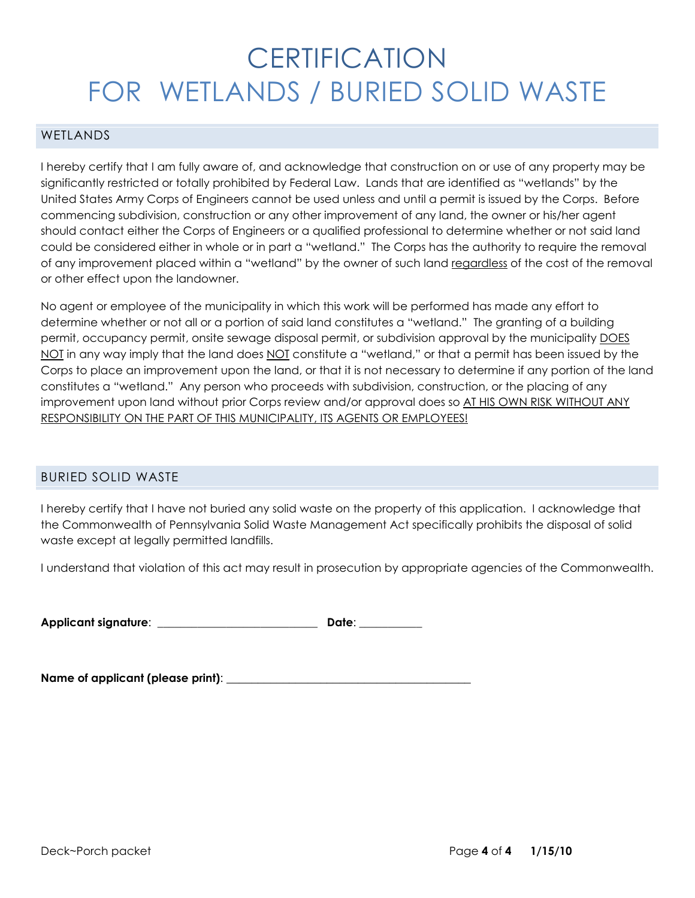# **CERTIFICATION** FOR WETLANDS / BURIED SOLID WASTE

#### WETI ANDS

I hereby certify that I am fully aware of, and acknowledge that construction on or use of any property may be significantly restricted or totally prohibited by Federal Law. Lands that are identified as "wetlands" by the United States Army Corps of Engineers cannot be used unless and until a permit is issued by the Corps. Before commencing subdivision, construction or any other improvement of any land, the owner or his/her agent should contact either the Corps of Engineers or a qualified professional to determine whether or not said land could be considered either in whole or in part a "wetland." The Corps has the authority to require the removal of any improvement placed within a "wetland" by the owner of such land regardless of the cost of the removal or other effect upon the landowner.

No agent or employee of the municipality in which this work will be performed has made any effort to determine whether or not all or a portion of said land constitutes a "wetland." The granting of a building permit, occupancy permit, onsite sewage disposal permit, or subdivision approval by the municipality DOES NOT in any way imply that the land does NOT constitute a "wetland," or that a permit has been issued by the Corps to place an improvement upon the land, or that it is not necessary to determine if any portion of the land constitutes a "wetland." Any person who proceeds with subdivision, construction, or the placing of any improvement upon land without prior Corps review and/or approval does so AT HIS OWN RISK WITHOUT ANY RESPONSIBILITY ON THE PART OF THIS MUNICIPALITY, ITS AGENTS OR EMPLOYEES!

### BURIED SOLID WASTE

I hereby certify that I have not buried any solid waste on the property of this application. I acknowledge that the Commonwealth of Pennsylvania Solid Waste Management Act specifically prohibits the disposal of solid waste except at legally permitted landfills.

I understand that violation of this act may result in prosecution by appropriate agencies of the Commonwealth.

Applicant signature: \_\_\_\_\_\_\_\_\_\_\_\_\_\_\_\_\_\_\_\_\_\_\_\_\_\_\_\_ Date: \_\_\_\_\_\_\_\_\_\_\_

| Name of applicant (please print): |
|-----------------------------------|
|-----------------------------------|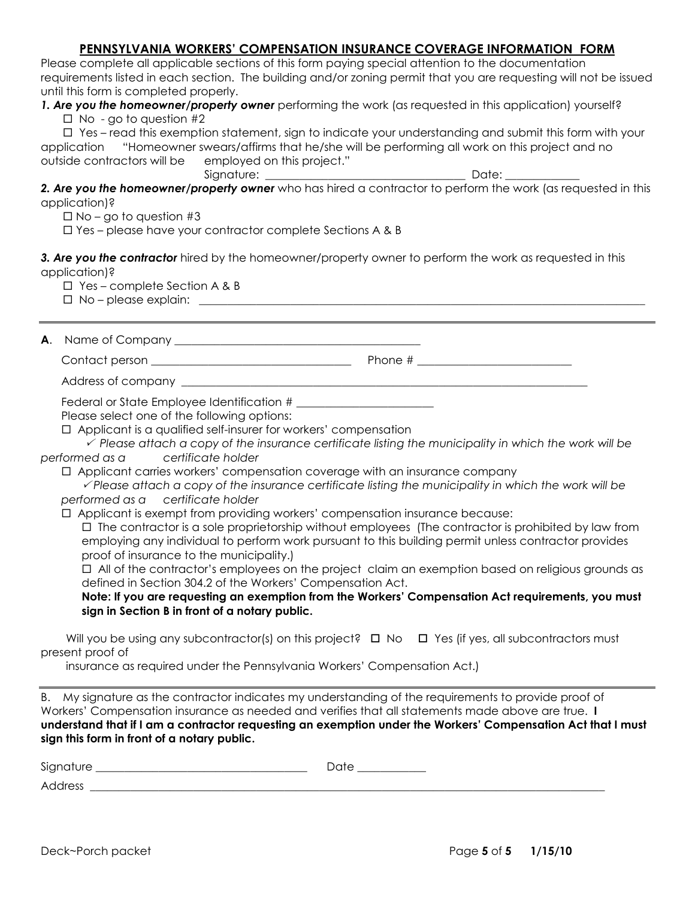### PENNSYLVANIA WORKERS' COMPENSATION INSURANCE COVERAGE INFORMATION FORM

Please complete all applicable sections of this form paying special attention to the documentation requirements listed in each section. The building and/or zoning permit that you are requesting will not be issued until this form is completed properly.

1. Are you the homeowner/property owner performing the work (as requested in this application) yourself?

 $\Box$  No - go to question #2

 $\Box$  Yes – read this exemption statement, sign to indicate your understanding and submit this form with your application "Homeowner swears/affirms that he/she will be performing all work on this project and no outside contractors will be employed on this project."

Signature: \_\_\_\_\_\_\_\_\_\_\_\_\_\_\_\_\_\_\_\_\_\_\_\_\_\_\_\_\_\_\_\_\_\_\_ Date: \_\_\_\_\_\_\_\_\_\_\_\_\_

2. Are you the homeowner/property owner who has hired a contractor to perform the work (as requested in this application)?

 $\Box$  No – go to question #3

Yes – please have your contractor complete Sections A & B

3. Are you the contractor hired by the homeowner/property owner to perform the work as requested in this application)?

 $\Box$  Yes – complete Section A & B

 $\square$  No – please explain:  $\square$ 

A. Name of Company \_\_\_\_\_\_\_\_\_\_\_\_\_\_\_\_\_\_\_\_\_\_\_\_\_\_\_\_\_\_\_\_\_\_\_\_\_\_\_\_\_\_\_

Contact person \_\_\_\_\_\_\_\_\_\_\_\_\_\_\_\_\_\_\_\_\_\_\_\_\_\_\_\_\_\_\_\_\_\_\_ Phone # \_\_\_\_\_\_\_\_\_\_\_\_\_\_\_\_\_\_\_\_\_\_\_\_\_\_\_

Address of company \_

Federal or State Employee Identification #

Please select one of the following options:

 $\checkmark$  Please attach a copy of the insurance certificate listing the municipality in which the work will be performed as a certificate holder

 $\Box$  Applicant carries workers' compensation coverage with an insurance company

 $\sqrt{P}$  Please attach a copy of the insurance certificate listing the municipality in which the work will be performed as a certificate holder

Applicant is exempt from providing workers' compensation insurance because:

 $\Box$  The contractor is a sole proprietorship without employees (The contractor is prohibited by law from employing any individual to perform work pursuant to this building permit unless contractor provides proof of insurance to the municipality.)

 All of the contractor's employees on the project claim an exemption based on religious grounds as defined in Section 304.2 of the Workers' Compensation Act.

Note: If you are requesting an exemption from the Workers' Compensation Act requirements, you must sign in Section B in front of a notary public.

Will you be using any subcontractor(s) on this project?  $\Box$  No  $\Box$  Yes (if yes, all subcontractors must present proof of

insurance as required under the Pennsylvania Workers' Compensation Act.)

B. My signature as the contractor indicates my understanding of the requirements to provide proof of Workers' Compensation insurance as needed and verifies that all statements made above are true. I understand that if I am a contractor requesting an exemption under the Workers' Compensation Act that I must sign this form in front of a notary public.

Signature \_\_\_\_\_\_\_\_\_\_\_\_\_\_\_\_\_\_\_\_\_\_\_\_\_\_\_\_\_\_\_\_\_\_\_\_\_ Date \_\_\_\_\_\_\_\_\_\_\_\_

Address \_\_\_\_\_\_\_\_\_\_\_\_\_\_\_\_\_\_\_\_\_\_\_\_\_\_\_\_\_\_\_\_\_\_\_\_\_\_\_\_\_\_\_\_\_\_\_\_\_\_\_\_\_\_\_\_\_\_\_\_\_\_\_\_\_\_\_\_\_\_\_\_\_\_\_\_\_\_\_\_\_\_\_\_\_\_\_\_\_\_

Applicant is a qualified self-insurer for workers' compensation